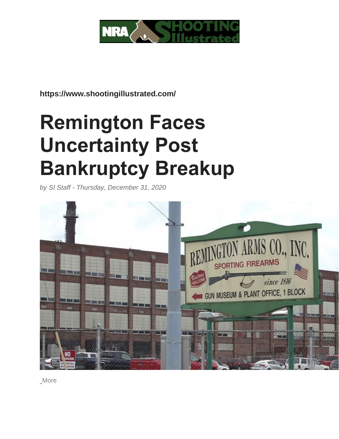

**https://www.shootingillustrated.com/**

# **Remington Faces Uncertainty Post Bankruptcy Breakup**

*by SI Staff - Thursday, December 31, 2020*



[More](https://www.shootingillustrated.com/articles/2020/12/31/remington-faces-uncertainty-post-bankruptcy-breakup/?utm_source=newsletter&utm_medium=insider&utm_campaign=0121)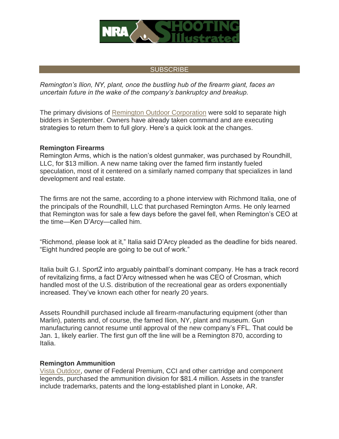

## **[SUBSCRIBE](https://www.shootingillustrated.com/sign-up-for-updates)**

*Remington's Ilion, NY, plant, once the bustling hub of the firearm giant, faces an uncertain future in the wake of the company's bankruptcy and breakup.*

The primary divisions of [Remington Outdoor Corporation](https://www.remingtonoutdoorcompany.com/) were sold to separate high bidders in September. Owners have already taken command and are executing strategies to return them to full glory. Here's a quick look at the changes.

#### **Remington Firearms**

Remington Arms, which is the nation's oldest gunmaker, was purchased by Roundhill, LLC, for \$13 million. A new name taking over the famed firm instantly fueled speculation, most of it centered on a similarly named company that specializes in land development and real estate.

The firms are not the same, according to a phone interview with Richmond Italia, one of the principals of the Roundhill, LLC that purchased Remington Arms. He only learned that Remington was for sale a few days before the gavel fell, when Remington's CEO at the time—Ken D'Arcy—called him.

"Richmond, please look at it," Italia said D'Arcy pleaded as the deadline for bids neared. "Eight hundred people are going to be out of work."

Italia built G.I. SportZ into arguably paintball's dominant company. He has a track record of revitalizing firms, a fact D'Arcy witnessed when he was CEO of Crosman, which handled most of the U.S. distribution of the recreational gear as orders exponentially increased. They've known each other for nearly 20 years.

Assets Roundhill purchased include all firearm-manufacturing equipment (other than Marlin), patents and, of course, the famed Ilion, NY, plant and museum. Gun manufacturing cannot resume until approval of the new company's FFL. That could be Jan. 1, likely earlier. The first gun off the line will be a Remington 870, according to Italia.

### **Remington Ammunition**

[Vista Outdoor,](https://vistaoutdoor.com/) owner of Federal Premium, CCI and other cartridge and component legends, purchased the ammunition division for \$81.4 million. Assets in the transfer include trademarks, patents and the long-established plant in Lonoke, AR.